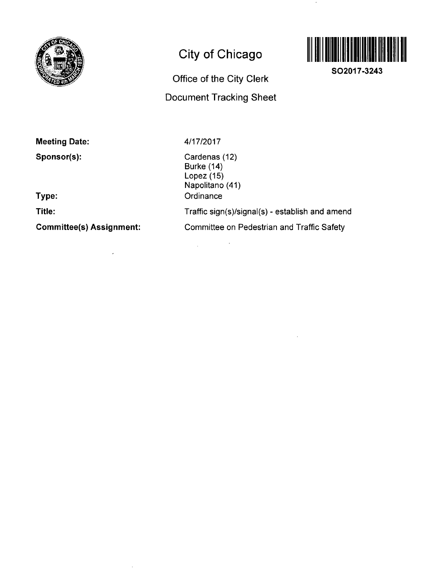

# **City of Chicago**

# **Office of the City Clerk Document Tracking Sheet**

 $\sim$   $\sim$ 



**SO2017-3243** 

**Meeting Date:** 

**Sponsor(s):** 

**Type:** 

**Title:** 

**Committee(s) Assignment:** 

 $\bar{\mathcal{L}}$ 

 $\bar{z}$ 

4/17/2017

 $\Delta \sim 10^{11}$ 

Cardenas (12) Burke (14) Lopez (15) Napolitano (41) **Ordinance** Traffic sign(s)/signal(s) - establish and amend Committee on Pedestrian and Traffic Safety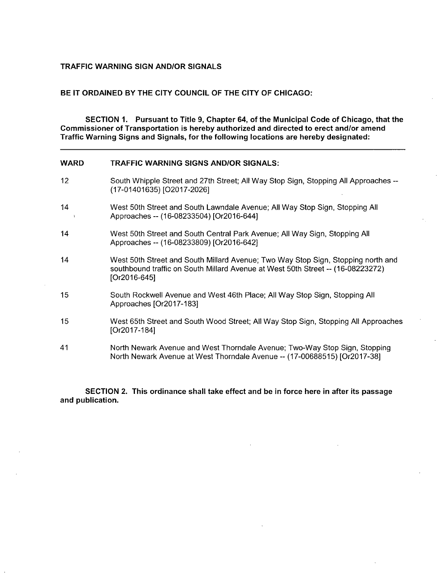## **TRAFFIC WARNING SIGN AND/OR SIGNALS**

### **BE IT ORDAINED BY THE CITY COUNCIL OF THE CITY OF CHICAGO:**

**SECTION 1. Pursuant to Title 9, Chapter 64, of the Municipal Code of Chicago, that the Commissioner of Transportation is hereby authorized and directed to erect and/or amend Traffic Warning Signs and Signals, forthe following locations are hereby designated:** 

| <b>WARD</b>                | <b>TRAFFIC WARNING SIGNS AND/OR SIGNALS:</b>                                                                                                                                        |
|----------------------------|-------------------------------------------------------------------------------------------------------------------------------------------------------------------------------------|
| 12 <sup>2</sup>            | South Whipple Street and 27th Street; All Way Stop Sign, Stopping All Approaches --<br>(17-01401635) [O2017-2026]                                                                   |
| 14<br>$\ddot{\phantom{1}}$ | West 50th Street and South Lawndale Avenue; All Way Stop Sign, Stopping All<br>Approaches -- (16-08233504) [Or2016-644]                                                             |
| 14                         | West 50th Street and South Central Park Avenue; All Way Sign, Stopping All<br>Approaches -- (16-08233809) [Or2016-642]                                                              |
| 14                         | West 50th Street and South Millard Avenue; Two Way Stop Sign, Stopping north and<br>southbound traffic on South Millard Avenue at West 50th Street -- (16-08223272)<br>[Or2016-645] |
| 15                         | South Rockwell Avenue and West 46th Place; All Way Stop Sign, Stopping All<br>Approaches [Or2017-183]                                                                               |
| 15                         | West 65th Street and South Wood Street; All Way Stop Sign, Stopping All Approaches<br>[Or2017-184]                                                                                  |
| 41                         | North Newark Avenue and West Thorndale Avenue; Two-Way Stop Sign, Stopping<br>North Newark Avenue at West Thorndale Avenue -- (17-00688515) [Or2017-38]                             |

**SECTION 2. This ordinance shall take effect and be in force here in after its passage and publication.**